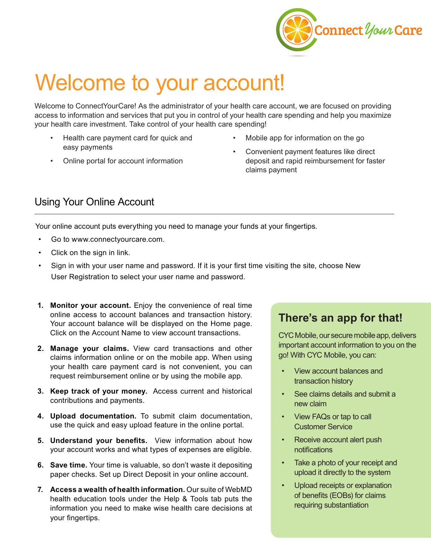

# Welcome to your account!

Welcome to ConnectYourCare! As the administrator of your health care account, we are focused on providing access to information and services that put you in control of your health care spending and help you maximize your health care investment. Take control of your health care spending!

- Health care payment card for quick and easy payments
- Online portal for account information
- Mobile app for information on the go
- Convenient payment features like direct deposit and rapid reimbursement for faster claims payment

## Using Your Online Account

Your online account puts everything you need to manage your funds at your fingertips.

- Go to www.connectyourcare.com.
- Click on the sign in link.
- Sign in with your user name and password. If it is your first time visiting the site, choose New User Registration to select your user name and password.
- **1. Monitor your account.** Enjoy the convenience of real time online access to account balances and transaction history. Your account balance will be displayed on the Home page. Click on the Account Name to view account transactions.
- **2. Manage your claims.** View card transactions and other claims information online or on the mobile app. When using your health care payment card is not convenient, you can request reimbursement online or by using the mobile app.
- **3. Keep track of your money.** Access current and historical contributions and payments.
- **4. Upload documentation.** To submit claim documentation, use the quick and easy upload feature in the online portal.
- **5. Understand your benefits.** View information about how your account works and what types of expenses are eligible.
- **6. Save time.** Your time is valuable, so don't waste it depositing paper checks. Set up Direct Deposit in your online account.
- **7. Access a wealth of health information.** Our suite of WebMD health education tools under the Help & Tools tab puts the information you need to make wise health care decisions at your fingertips.

## **There's an app for that!**

CYC Mobile, our secure mobile app, delivers important account information to you on the go! With CYC Mobile, you can:

- View account balances and transaction history
- See claims details and submit a new claim
- View FAQs or tap to call Customer Service
- Receive account alert push notifications
- Take a photo of your receipt and upload it directly to the system
- Upload receipts or explanation of benefits (EOBs) for claims requiring substantiation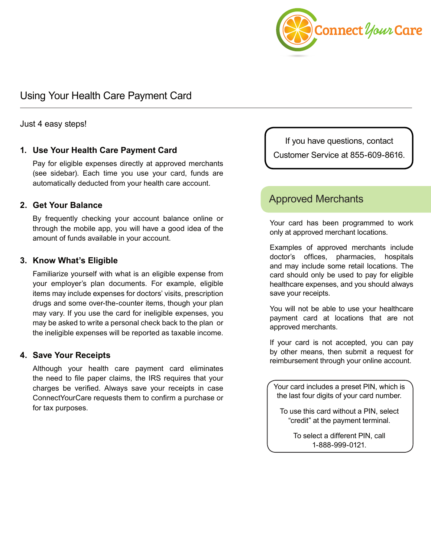

## Using Your Health Care Payment Card

Just 4 easy steps!

## **1. Use Your Health Care Payment Card**

Pay for eligible expenses directly at approved merchants (see sidebar). Each time you use your card, funds are automatically deducted from your health care account.

## **2. Get Your Balance**

By frequently checking your account balance online or through the mobile app, you will have a good idea of the amount of funds available in your account.

## **3. Know What's Eligible**

Familiarize yourself with what is an eligible expense from your employer's plan documents. For example, eligible items may include expenses for doctors' visits, prescription drugs and some over-the-counter items, though your plan may vary. If you use the card for ineligible expenses, you may be asked to write a personal check back to the plan or the ineligible expenses will be reported as taxable income.

### **4. Save Your Receipts**

Although your health care payment card eliminates the need to file paper claims, the IRS requires that your charges be verified. Always save your receipts in case ConnectYourCare requests them to confirm a purchase or for tax purposes.

If you have questions, contact Customer Service at 855-609-8616.

## Approved Merchants

Your card has been programmed to work only at approved merchant locations.

Examples of approved merchants include doctor's offices, pharmacies, hospitals and may include some retail locations. The card should only be used to pay for eligible healthcare expenses, and you should always save your receipts.

You will not be able to use your healthcare payment card at locations that are not approved merchants.

If your card is not accepted, you can pay by other means, then submit a request for reimbursement through your online account.

Your card includes a preset PIN, which is the last four digits of your card number.

To use this card without a PIN, select "credit" at the payment terminal.

> To select a different PIN, call 1-888-999-0121.